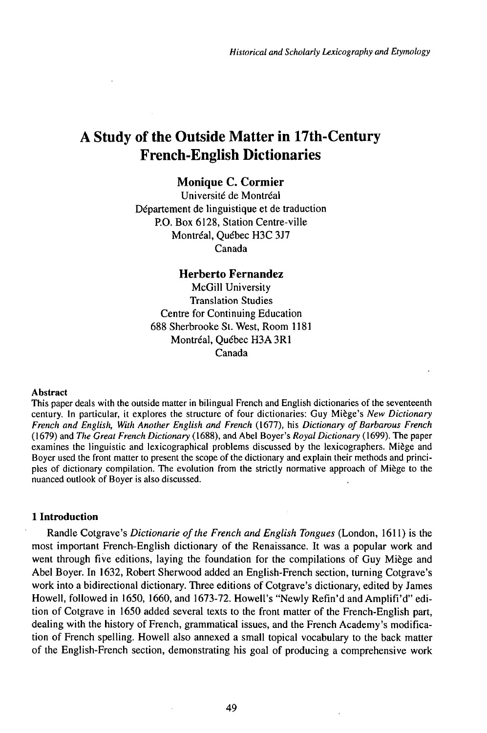# A Study of the Outside Matter in 17th-Century French-English Dictionaries

# **Monique C. Cormier**

Université de Montréal Département de linguistique et de traduction P.O. Box 6128, Station Centre-ville Montréal, Québec H3C 3J7 Canada

# **Herberto Fernandez**

McGill University Translation Studies Centre for Continuing Education 688 Sherbrooke St. West, Room 1181 Montréal, Québec H3A 3R1 Canada

## Abstract

This paper deals with the outside matter in bilingual French and English dictionaries of the seventeenth century. In particular, it explores the structure of four dictionaries: Guy Miège's *New Dictionary French and English, With Another English and French* (1677), his *Dictionary ofBarbarous French* (1679) and *The Great French Dictionary* (1688), and Abel Boyer's *Royal Dictionary* (1699). The paper examines the linguistic and lexicographical problems discussed by the lexicographers. Miège and Boyer used the front matter to present the scope of the dictionary and explain their methods and principles of dictionary compilation. The evolution from the strictly normative approach of Miège to the nuanced outlook of Boyer is also discussed.

# **1 Introduction**

Randle Cotgrave's *Dictionarie ofthe French and English Tongues* (London, 1611) is the most important French-English dictionary of the Renaissance. It was a popular work and went through five editions, laying the foundation for the compilations of Guy Miège and Abel Boyer. In 1632, Robert Sherwood added an English-French section, turning Cotgrave's work into a bidirectional dictionary. Three editions of Cotgrave's dictionary, edited by James Howell, followed in 1650, 1660, and 1673-72. Howell's "Newly Refin'd andAmplifi'd" edition of Cotgrave in 1650 added several texts to the front matter of the French-English part, dealing with the history of French, grammatical issues, and the French Academy's modification of French spelling. Howell also annexed a small topical vocabulary to the back matter of the English-French section, demonstrating his goal of producing a comprehensive work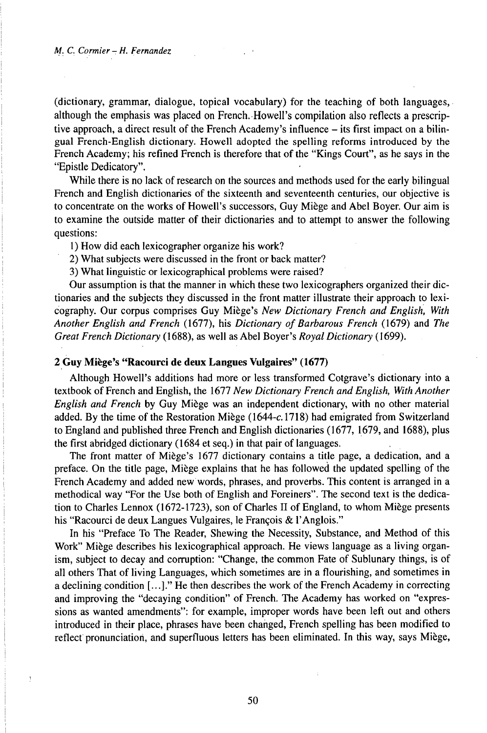## *M. C. Cormier - H. Fernandez*

 $\left\{ \right.$ 

(dictionary, grammar, dialogue, topical vocabulary) for the teaching of both languages, although the emphasis was placed on French.Howell's compilation also reflects a prescriptive approach, <sup>a</sup> direct result of the French Academy's influence - its first impact on <sup>a</sup> bilingual French-English dictionary. Howell adopted the spelling reforms introduced by the French Academy; his refined French is therefore that of the "Kings Court", as he says in the "Epistle Dedicatory".

While there is no lack of research on the sources and methods used for the early bilingual French and English dictionaries of the sixteenth and seventeenth centuries, our objective is to concentrate on the works of Howell's successors, Guy Miège and Abel Boyer. Our aim is to examine the outside matter of their dictionaries and to attempt to answer the following questions:

- 1) How did each lexicographer organize his work?
- 2) What subjects were discussed in the front or back matter?
- 3) What linguistic or lexicographical problems were raised?

Our assumption is that the manner in which these two lexicographers organized their dictionaries and the subjects they discussed in the front matter illustrate their approach to lexicography. Our corpus comprises Guy Miège's *New Dictionary French and English, With Another English and French* (1677), his *Dictionary of Barbarous French* (1679) and *The Great French Dictionary* (1688), as well as Abel Boyer's *Royal Dictionary* ( 1699).

# **2 Guy Miège's "Racourci de deux Langues Vulgaires" (1677)**

Although Howell's additions had more or less transformed Cotgrave's dictionary into a textbook ofFrench and English, the 1677 *New Dictionary French andEnglish, WithAnother English and French* by Guy Miège was an independent dictionary, with no other material added. By the time of the Restoration Miège (1644-c.1718) had emigrated from Switzerland to England and published three French and English dictionaries (1677, 1679, and 1688), plus the first abridged dictionary (1684 et seq.) in that pair of languages.

The front matter of Miège's 1677 dictionary contains a title page, a dedication, and a preface. On the title page, Miège explains that he has followed the updated spelling of the French Academy and added newwords, phrases, and proverbs. This content is arranged in a methodical way "For the Use both of English and Foreiners". The second text is the dedication to Charles Lennox (1672-1723), son of Charles II of England, to whom Miège presents his "Racourci de deux Langues Vulgaires, le François & l'Anglois."

In his "Preface To The Reader, Shewing the Necessity, Substance, and Method of this Work" Miège describes his lexicographical approach. He views language as a living organism, subject to decay and corruption: "Change, the common Fate of Sublunary things, is of all others That of living Languages, which sometimes are in a flourishing, and sometimes in a declining condition  $[\ldots]$ ." He then describes the work of the French Academy in correcting and improving the "decaying condition" of French. The Academy has worked on "expressions as wanted amendments": for example, improper words have been left out and others introduced in their place, phrases have been changed, French spelling has been modified to reflect pronunciation, and superfluous letters has been eliminated. In this way, says Miège,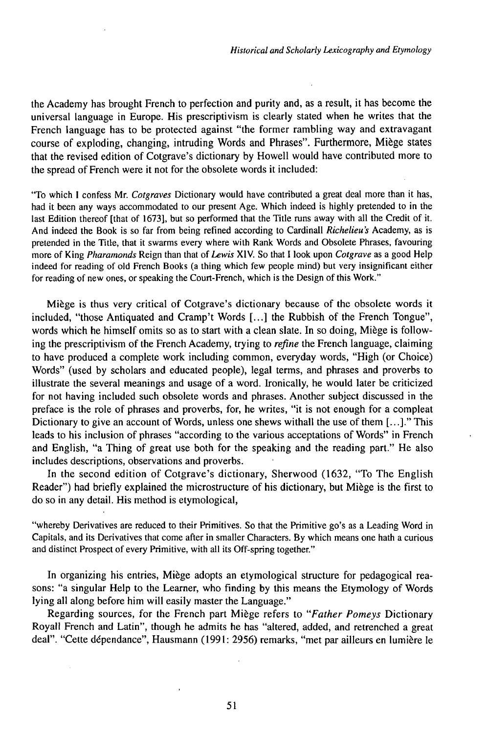the Academy has brought French to perfection and purity and, as a result, it has become the universal language in Europe. His prescriptivism is clearly stated when he writes that the French language has to be protected against "the former rambling way and extravagant course of exploding, changing, intruding Words and Phrases". Furthermore, Miège states that the revised edition of Cotgrave's dictionary by Howell would have contributed more to the spread of French were it not for the obsolete words it included:

'To which <sup>I</sup> confess Mr. *Cotgraves* Dictionary would have contributed a great deal more than it has, had it been any ways accommodated to our present Age. Which indeed is highly pretended to in the last Edition thereof [that of 1673], but so performed that the Title runs away with all the Credit of it. And indeed the Book is so far from being refined according to Cardinali *Richelieu's* Academy, as is pretended in the Title, that it swarms every where with Rank Words and Obsolete Phrases, favouring more of King *Pharamonds* Reign than that of *Lewis* XIV. So that <sup>1</sup> look upon *Cotgrave* as a good Help indeed for reading of old French Books (a thing which few people mind) but very insignificant either for reading of new ones, or speaking the Court-French, which is the Design of this Work."

Miège is thus very critical of Cotgrave's dictionary because of the obsolete words it included, "those Antiquated and Cramp't Words [...] the Rubbish of the French Tongue", words which he himself omits so as to start with a clean slate. In so doing, Miège is following the prescriptivism of the French Academy, trying to *refine* the French language, claiming to have produced a complete work including common, everyday words, "High (or Choice) Words" (used by scholars and educated people), legal terms, and phrases and proverbs to illustrate the several meanings and usage of a word. Ironically, he would later be criticized for not having included such obsolete words and phrases. Another subject discussed in the preface is the role of phrases and proverbs, for, he writes, "it is not enough for a compleat Dictionary to give an account of Words, unless one shews withall the use of them  $[\dots]$ ." This leads to his inclusion of phrases "according to the various acceptations of Words" in French and English, "a Thing of great use both for the speaking and the reading part." He also includes descriptions, observations and proverbs.

In the second edition of Cotgrave's dictionary, Sherwood (1632, "To The English Reader") had briefly explained the microstructure of his dictionary, but Miège is the first to do so in any detail. His method is etymological,

"whereby Derivatives are reduced to their Primitives. So that the Primitive go's as a Leading Word in Capitals, and its Derivatives that come after in smaller Characters. By which means one hath a curious and distinct Prospect of every Primitive, with all its Off-spring together."

In organizing his entries, Miège adopts an etymological structure for pedagogical reasons: "a singular Help to the Learner, who finding by this means the Etymology of Words lying all along before him will easily master the Language."

Regarding sources, for the French part Miège refers to *"Father Pomeys* Dictionary Royall French and Latin", though he admits he has "altered, added, and retrenched a great deal". "Cette dépendance", Hausmann (1991: 2956) remarks, "met par ailleurs en lumière le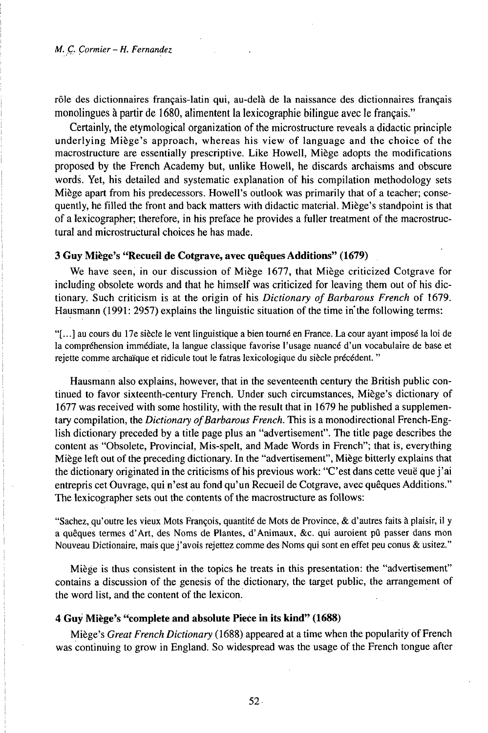rôle des dictionnaires français-latin qui, au-delà de la naissance des dictionnaires français monolingues à partir de 1680, alimentent la lexicographie bilingue avec le français."

Certainly, the etymological organization of the microstructure reveals a didactic principle underlying Miège's approach, whereas his view of language and the choice of the macrostructure are essentially prescriptive. Like Howell, Miège adopts the modifications proposed by the French Academy but, unlike Howell, he discards archaisms and obscure words. Yet, his detailed and systematic explanation of his compilation methodology sets Miège apart from his predecessors. Howell's outlook was primarily that of a teacher; consequently, he filled the front and back matters with didactic material. Miège's standpoint is that of a lexicographer; therefore, in his preface he provides a fuller treatment of the macrostructural and microstructural choices he has made.

## **3 Guy Miège's "Recueil de Cotgrave, avec quêques Additions" (1679)**

We have seen, in our discussion of Miège 1677, that Miège criticized Cotgrave for including obsolete words and that he himself was criticized for leaving them out of his dictionary. Such criticism is at the origin of his *Dictionary ofBarbarous French* of 1679. Hausmann (1991: 2957) explains the linguistic situation of the time in the following terms:

"[...] au cours du 17e siècle le vent linguistique a bien tourné en France. La cour ayant imposé la loi de la compréhension immédiate, la langue classique favorise l'usage nuancé d'un vocabulaire de base et rejette comme archaïque et ridicule tout le fatras lexicologique du siècle précédent. "

Hausmann also explains, however, that in the seventeenth century the British public continued to favor sixteenth-century French. Under such circumstances, Miège's dictionary of 1677 was received with some hostility, with the result that in 1679 he published a supplementary compilation, the *Dictionary of Barbarous French*. This is a monodirectional French-English dictionary preceded by a title page plus an "advertisement". The title page describes the content as "Obsolete, Provincial, Mis-spelt, and Made Words in French"; that is, everything Miègeleft out ofthe preceding dictionary. In the "advertisement", Miège bitterly explains that the dictionary originated in the criticisms of his previous work: "C'est dans cette veuë que j'ai entrepris cet Ouvrage, qui n'est au fond qu'un Recueil de Cotgrave, avec quêques Additions." The lexicographer sets out the contents of the macrostructure as follows:

"Sachez, qu'outre les vieux Mots François, quantité de Mots de Province, & d'autres faits à plaisir, il y a quêques termes d'Art, des Noms de Plantes, d'Animaux, &c. qui auroient pû passer dans mon Nouveau Dictionaire, mais quej'avois rejettez comme des Noms qui sont en effet peu conus & usitez."

Miège is thus consistent in the topics he treats in this presentation: the "advertisement" contains a discussion of the genesis of the dictionary, the target public, the arrangement of the word list, and the content of the lexicon.

# **4 Guy Miège's "complete and absolute Pieće in its kind" (1688)**

Miège's *Great French Dictionary* (1688) appeared at a time when the popularity ofFrench was continuing to grow in England. So widespread was the usage of the French tongue after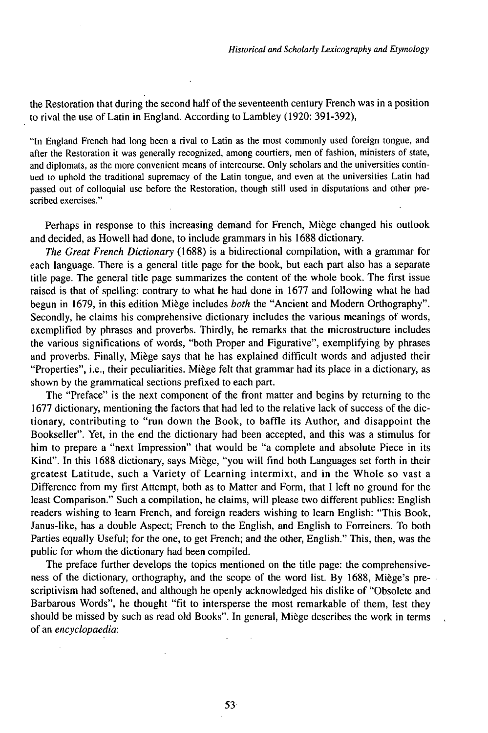the Restoration that during the second half of the seventeenth century French was in a position to rival the use ofLatin in England. According to Lambley (1920: 391-392),

"In England French had long been a rival to Latin as the most commonly used foreign tongue, and after the Restoration it was generally recognized, among courtiers, men of fashion, ministers of state, and diplomats, as the more convenient means of intercourse. Only scholars and the universities continued to uphold the traditional supremacy of the Latin tongue, and even at the universities Latin had passed out of colloquial use before the Restoration, though still used in disputations and other prescribed exercises."

Perhaps in response to this increasing demand for French, Miège changed his outlook and decided, as Howell had done, to include grammars in his 1688 dictionary.

*The Great French Dictionary* (1688) is a bidirectional compilation, with a grammar for each language. There is a general title page for the book, but each part also has a separate title page. The general title page summarizes the content of the whole book. The first issue raised is that of spelling: contrary to what he had done in 1677 and following what he had begun in 1679, in this edition Miège includes *both* the "Ancient and Modern Orthography". Secondly, he claims his comprehensive dictionary includes the various meanings of words, exemplified by phrases and proverbs. Thirdly, he remarks that the microstructure includes the various significations of words, "both Proper and Figurative", exemplifying by phrases and proverbs. Finally, Miège says that he has explained difficult words and adjusted their "Properties", i.e., their peculiarities. Miège felt that grammar had its place in a dictionary, as shown by the grammatical sections prefixed to each part.

The "Preface" is the next component of the front matter and begins by returning to the 1677 dictionary, mentioning the factors that had led to the relative lack of success of the dictionary, contributing to "run down the Book, to baffle its Author, and disappoint the Bookseller". Yet, in the end the dictionary had been accepted, and this was a stimulus for him to prepare a "next Impression" that would be "a complete and absolute Piece in its Kind". In this 1688 dictionary, says Miège, "you will find both Languages set forth in their greatest Latitude, such a Variety of Learning intermixt, and in the Whole so vast a Difference from my first Attempt, both as to Matter and Form, that I left no ground for the least Comparison." Such a compilation, he claims, will please two different publics: English readers wishing to learn French, and foreign readers wishing to learn English: "This Book, Janus-like, has a double Aspect; French to the English, and English to Forreiners. To both Parties equally Useful; for the one, to get French; and the other, English." This, then, was the public for whom the dictionary had been compiled.

The preface further develops the topics mentioned on the title page: the comprehensiveness of the dictionary, orthography, and the scope of the word list. By 1688, Miège's prescriptivism had softened, and although he openly acknowledged his dislike of "Obsolete and Barbarous Words", he thought "fit to intersperse the most remarkable of them, lest they should be missed by such as read old Books". In general, Miège describes the work in terms of an *encyclopaedia:*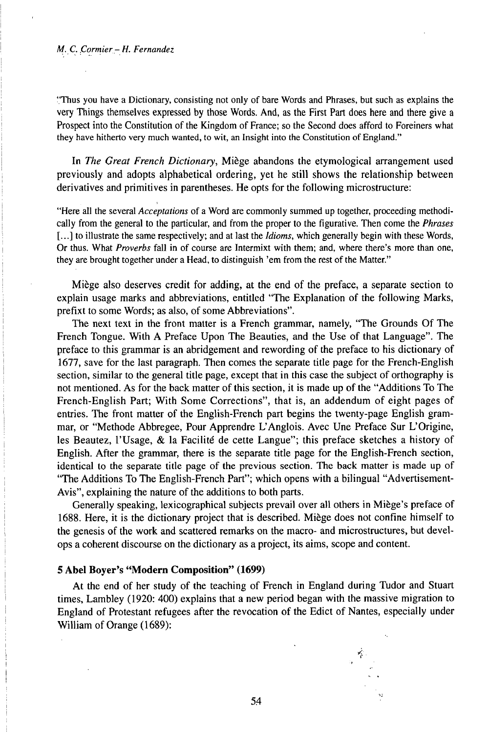## *M. C. Çormier- H. Fernandez*

"Thus you have a Dictionary, consisting not only of bare Words and Phrases, but such as explains the very Things themselves expressed by those Words. And, as the First Part does here and there give a Prospect into the Constitution of the Kingdom of France; so the Second does afford to Foreiners what they have hitherto very much wanted, to wit, an Insight into the Constitution of England."

In *The Great French Dictionary,* Miège abandons the etymological arrangement used previously and adopts alphabetical ordering, yet he still shows the relationship between derivatives and primitives in parentheses. He opts for the following microstructure:

"Here all the several *Acceptations* of a Word are commonly summed up together, proceeding methodically from the general to the particular, and from the proper to the figurative. Then come the *Phrases* [...] to illustrate the same respectively; and at last the *Idioms*, which generally begin with these Words, Or thus. What *Proverbs* fall in of course are Intermixt with them; and, where there's more than one, they are brought together under a Head, to distinguish 'em from the rest of the Matter."

Miège also deserves credit for adding, at the end of the preface, a separate section to explain usage marks and abbreviations, entitled "The Explanation of the following Marks, prefixt to some Words; as also, of some Abbreviations".

The next text in the front matter is a French grammar, namely, "The Grounds Of The French Tongue. With A Preface Upon The Beauties, and the Use of that Language". The preface to this grammar is an abridgement and rewording of the preface to his dictionary of 1677, save for the last paragraph. Then comes the separate title page for the French-English section, similar to the general title page, except that in this case the subject of orthography is not mentioned. As for the back matter of this section, it is made up of the "Additions To The French-English Part; With Some Corrections", that is, an addendum of eight pages of entries. The front matter of the English-French part begins the twenty-page English grammar, or "Methode Abbregee, Pour Apprendre L'Anglois. Avec Une Preface Sur L'Origine, les Beautez, l'Usage, & la Facilité de cette Langue"; this preface sketches a history of English. After the grammar, there is the separate title page for the English-French section, identical to the separate title page of the previous section. The back matter is made up of "The Additions To The English-French Part"; which opens with a bilingual "Advertisement-Avis", explaining the nature of the additions to both parts.

Generally speaking, lexicographical subjects prevail over all others in Miège's preface of 1688. Here, it is the dictionary project that is described. Miège does not confine himself to the genesis of the work and scattered remarks on the macro- and microstructures, but develops a coherent discourse on the dictionary as a project, its aims, scope and content.

# **5 Abel Boyer's "Modern Composition" (1699)**

At the end of her study of the teaching of French in England during Tudor and Stuart times, Lambley (1920: 400) explains that a new period began with the massive migration to England of Protestant refugees after the revocation of the Edict of Nantes, especially under William of Orange (1689):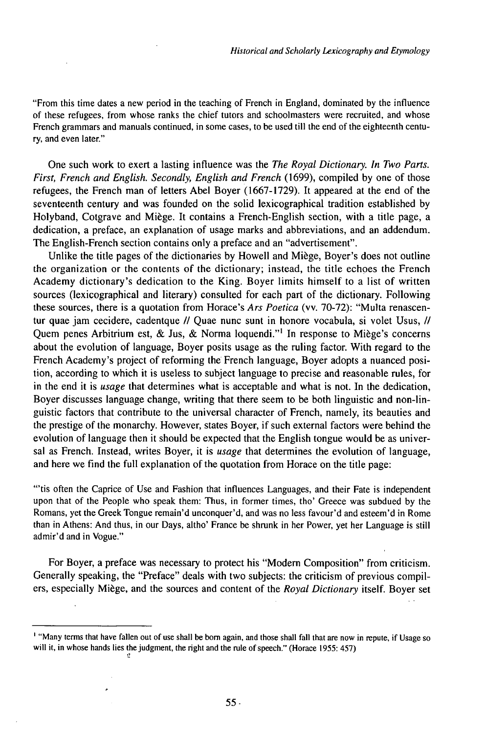"From this time dates a new period in the teaching of French in England, dominated by the influence of these refugees, from whose ranks the chief tutors and schoolmasters were recruited, and whose French grammars and manuals continued, in some cases, to be used till the end of the eighteenth century, and even later."

One such work to exert a lasting influence was the *The Royal Dictionary. In Two Parts. First, French and English. Secondly, English and French* (1699), compiled by one of those refugees, the French man of letters Abel Boyer (1667-1729). It appeared at the end of the seventeenth century and was founded on the solid lexicographical tradition established by Holyband, Cotgrave and Miège. It contains a French-English section, with a title page, a dedication, a preface, an explanation of usage marks and abbreviations, and an addendum. The English-French section contains only a preface and an "advertisement".

Unlike the title pages of the dictionaries by Howell and Miège, Boyer's does not outline the organization or the contents of the dictionary; instead, the title echoes the French Academy dictionary's dedication to the King. Boyer limits himself to a list of written sources (lexicographical and literary) consulted for each part of the dictionary. Following these sources, there is a quotation from Horace's *Ars Poetica* (vv. 70-72): "Multa renascentur quae jam cecidere, cadentque // Quae nunc sunt in honore vocabula, si volet Usus, // Quem penes Arbitrium est, & Jus, & Norma loquendi."<sup>1</sup> In response to Miège's concerns about the evolution of language, Boyer posits usage as the ruling factor. With regard to the French Academy's project of reforming the French language, Boyer adopts a nuanced position, according to which it is useless to subject language to precise and reasonable rules, for in the end it is *usage* that determines what is acceptable and what is not. In the dedication, Boyer discusses language change, writing that there seem to be both linguistic and non-linguistic factors that contribute to the universal character of French, namely, its beauties and the prestige of the monarchy. However, states Boyer, if such external factors were behind the evolution of language then it should be expected that the English tongue would be as universal as French. Instead, writes Boyer, it is *usage* that determines the evolution of language, and here we find the full explanation of the quotation from Horace on the title page:

"'tis often the Caprice of Use and Fashion that influences Languages, and their Fate is independent upon that of the People who speak them: Thus, in former times, tho' Greece was subdued by the Romans, yet the Greek Tongue remain'd unconquer'd, and was no less favour'd and esteem'd in Rome than in Athens: And thus, in our Days, altho' France be shrunk in her Power, yet her Language is still admir'd and in Vogue."

For Boyer, a preface was necessary to protect his "Modern Composition" from criticism. Generally speaking, the "Preface" deals with two subjects: the criticism of previous compilers, especially Miège, and the sources and content of the *Royal Dictionary* itself. Boyer set

<sup>&</sup>lt;sup>1</sup> "Many terms that have fallen out of use shall be born again, and those shall fall that are now in repute, if Usage so will it, in whose hands lies the judgment, the right and the rule of speech." (Horace 1955: 457)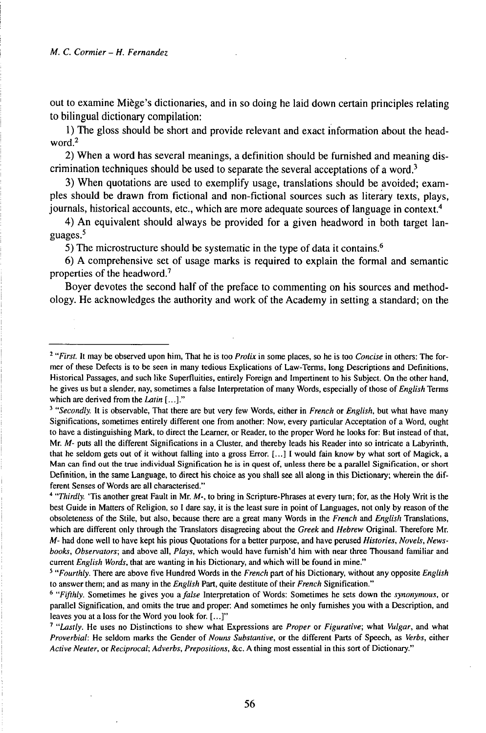out to examine Miège's dictionaries, and in so doing he laid down certain principles relating to bilingual dictionary compilation:

1) The gloss should be short and provide relevant and exact information about the headword.<sup>2</sup>

2) When a word has several meanings, a definition should be furnished and meaning discrimination techniques should be used to separate the several acceptations of a word.<sup>3</sup>

3) When quotations are used to exemplify usage, translations should be avoided; examples should be drawn from fictional and non-fictional sources such as literary texts, plays, journals, historical accounts, etc., which are more adequate sources of language in context.<sup>4</sup>

4) An equivalent should always be provided for a given headword in both target languages.<sup>5</sup>

5) The microstructure should be systematic in the type of data it contains.<sup>6</sup>

6) A comprehensive set of usage marks is required to explain the formal and semantic properties of the headword.<sup>7</sup>

Boyer devotes the second half of the preface to commenting on his sources and methodology. He acknowledges the authority and work of the Academy in setting a standard; on the

<sup>2</sup> *"First.* It may be observed upon him, That he is too *Prolix* in some places, so he is too *Concise* in others: The former of these Defects is to be seen in many tedious Explications of Law-Terms, long Descriptions and Definitions, Historical Passages, and such like Superfluities, entirely Foreign and Impertinent to his Subject. On the other hand, he gives us but a slender, nay, sometimes a false Interpretation of many Words, especially of those of *English* Terms which are derived from the *Latin* [...]."

<sup>3</sup> *"Secondly.* It is observable, That there are but very few Words, either in *French* or *English,* but what have many Significations, sometimes entirely different one from another: Now, every particular Acceptation of a Word, ought to have a distinguishing Mark, to direct the Learner, or Reader, to the proper Word he looks for: But instead of that, Mr. *M-* puts all the different Significations in a Cluster, and thereby leads his Reader into so intricate a Labyrinth, that he seldom gets out of it without falling into a gross Error. [...] <sup>I</sup> would fain know by what sort of Magick, a Man can find out the true individual Signification he is in quest of, unless there be a parallel Signification, or short Definition, in the same Language, to direct his choice as you shall see all along in this Dictionary; wherein the different Senses of Words are all characterised."

<sup>4</sup> *"Thirdly.* 'Tis another great Fault in Mr. *M-,* to bring in Scripture-Phrases at every turn; for, as the Holy Writ is the best Guide in Matters of Religion, so I dare say, it is the least sure in point of Languages, not only by reason of the obsoleteness of the Stile, but also, because there are a great many Words in the *French* and *English* Translations, which are different only through the Translators disagreeing about the *Greek* and *Hebrew* Original. Therefore Mr. *M-* had done well to have kept his pious Quotations for a better purpose, and have perused *Histories, Novels, Newsbooks, Observators;* and above all, *Plays,* which would have furnish'd him with near three Thousand familiar and current *English Words,* that are wanting in his Dictionary, and which will be found in mine."

<sup>5</sup> *"Fourthly.* There are above five Hundred Words in the *French* part of his Dictionary, without any opposite *English* to answer them; and as many in the *English* Part, quite destitute of their *French* Signification."

<sup>&</sup>lt;sup>6</sup> "Fifthly. Sometimes he gives you a false Interpretation of Words: Sometimes he sets down the *synonymous*, or parallel Signification, and omits the true and proper: And sometimes he only furnishes you with a Description, and leaves you at a loss for the Word you look for. [...]"

<sup>7</sup> *"Lastly.* He uses no Distinctions to shew what Expressions are *Proper* or *Figurative;* what *Vulgar,* and what *Proverbial:* He seldom marks the Gender of *Nouns Substantive,* or the different Parts of Speech, as *Verbs,* either *Active Neuter,* or *Reciprocal; Adverbs, Prepositions,* &c. A thing most essential in this sort of Dictionary."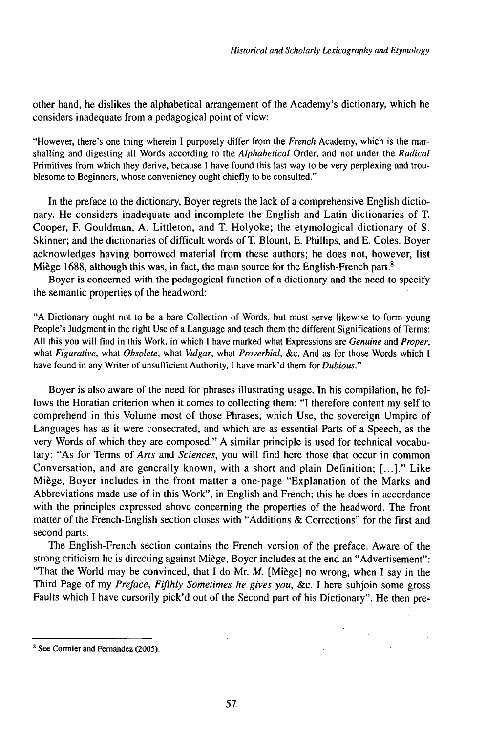other hand, he dislikes the alphabetical arrangement of the Academy's dictionary, which he considers inadequate from a pedagogical point of view:

"However, there's one thing wherein I purposely differ from the *French* Academy, which is the marshalling and digesting all Words according to the *Alphabetical* Order, and not under the *Radical* Primitives from which they derive, because I have found this last way to be very perplexing and troublesome to Beginners, whose conveniency ought chiefly to be consulted."

In the preface to the dictionary, Boyer regrets the lack of a comprehensive English dictionary. He considers inadequate and incomplete the English and Latin dictionaries of T. Cooper, F. Gouldman, A. Littleton, and T. Holyoke; the etymological dictionary of S. Skinner; and the dictionaries of difficult words of T. Blount, E. Phillips, and E. Coles. Boyer acknowledges having borrowed material from these authors; he does not, however, list Miège 1688, although this was, in fact, the main source for the English-French part.<sup>8</sup>

Boyer is concerned with the pedagogical function of a dictionary and the need to specify the semantic properties of the headword:

"A Dictionary ought not to be a bare Collection of Words, but must serve likewise to form young People's Judgment in the right Use of a Language and teach them the different Significations of Terms: All this you will find in this Work, in which I have marked what Expressions are *Genuine* and *Proper,* what *Figurative,* what *Obsolete,* what *Vulgar,* what *Proverbial,* &c. And as for those Words which <sup>I</sup> have found in any Writer of unsufficient Authority, I have mark'd them for *Dubious."*

Boyer is also aware of the need for phrases illustrating usage. In his compilation, he follows the Horatian criterion when it comes to collecting them: "I therefore content my self to comprehend in this Volume most of those Phrases, which Use, the sovereign Umpire of Languages has as it were consecrated, and which are as essential Parts of a Speech, as the very Words of which they are composed." A similar principle is used for technical vocabulary: "As for Terms of *Arts* and *Sciences,* you will find here those that occur in common Conversation, and are generally known, with a short and plain Definition; [...]." Like Miège, Boyer includes in the front matter a one-page "Explanation of the Marks and Abbreviations made use of in this Work", in English and French; this he does in accordance with the principles expressed above concerning the properties of the headword. The front matter of the French-English section closes with "Additions & Corrections" for the first and second parts.

The English-French section contains the French version of the preface. Aware of the strong criticism he is directing against Miège, Boyer includes at the end an "Advertisement": "That the World may be convinced, that I do Mr. *M.* [Miège] no wrong, when I say in the Third Page of my *Preface, Fifthly Sometimes he gives you,* &c. I here subjoin some gross Faults which I have cursorily pick'd out of the Second part of his Dictionary". He then pre-

<sup>&</sup>lt;sup>8</sup> See Cormier and Fernandez (2005).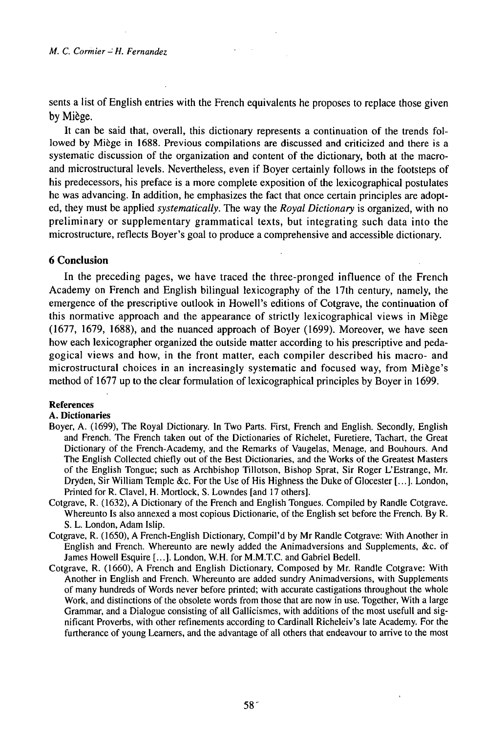sents a list of English entries with the French equivalents he proposes to replace those given by Miège.

It can be said that, overall, this dictionary represents a continuation of the trends followed by Miège in 1688. Previous compilations are discussed and criticized and there is a systematic discussion of the organization and content of the dictionary, both at the macroand microstructural levels. Nevertheless, even if Boyer certainly follows in the footsteps of his predecessors, his preface is a more complete exposition of the lexicographical postulates he was advancing. In addition, he emphasizes the fact that once certain principles are adopted, they must be applied *systematically.* The way the *Royal Dictionary* is organized, with no preliminary or supplementary grammatical texts, but integrating such data into the microstructure, reflects Boyer's goal to produce a comprehensive and accessible dictionary.

# **6 Conclusion**

In the preceding pages, we have traced the three-pronged influence of the French Academy on French and English bilingual lexicography of the 17th century, namely, the emergence of the prescriptive outlook in Howell's editions of Cotgrave, the continuation of this normative approach and the appearance of strictly lexicographical views in Miège (1677, 1679, 1688), and the nuanced approach of Boyer (1699). Moreover, we have seen how each lexicographer organized the outside matter according to his prescriptive and pedagogical views and how, in the front matter, each compiler described his macro- and microstructural choices in an increasingly systematic and focused way, from Miège's method of 1677 up to the clear formulation of lexicographical principles by Boyer in 1699.

## **References**

#### **A. Dictionaries**

- Boyer, A. (1699), The Royal Dictionary. In Two Parts. First, French and English. Secondly, English and French. The French taken out of the Dictionaries of Richelet, Furetiere, Tachart, the Great Dictionary of the French-Academy, and the Remarks of Vaugelas, Menage, and Bouhours. And The English Collected chiefly out of the Best Dictionaries, and the Works of the Greatest Masters of the English Tongue; such as Archbishop Tillotson, Bishop Sprat, Sir Roger L'Estrange, Mr. Dryden, Sir William Temple &c. For the Use of His Highness the Duke of Glocester [...]. London, Printed for R. Clavel, H. Mortlock, S. Lowndes [and 17 others].
- Cotgrave, R. (1632), A Dictionary of the French and English Tongues. Compiled by Randle Cotgrave. Whereunto Is also annexed a most copious Dictionarie, of the English set before the French. By R. S. L. London, Adam Islip.
- Cotgrave, R. (1650), A French-English Dictionary, Compil'd by Mr Randle Cotgrave: With Another in English and French. Whereunto are newly added the Animadversions and Supplements, &c. of James Howell Esquire [...]. London, W.H. for M.M.TC. and Gabriel Bedell.
- Cotgrave, R. (1660), A French and English Dictionary, Composed by Mr. Randle Cotgrave: With Another in English and French. Whereunto are added sundry Animadversions, with Supplements of many hundreds of Words never before printed; with accurate castigations throughout the whole Work, and distinctions of the obsolete words from those that are now in use. Together, With a large Grammar, and a Dialogue consisting of all Gallicismes, with additions of the most usefull and significant Proverbs, with other refinements according to Cardinali Richeleiv's late Academy. For the furtherance of young Leamers, and the advantage of all others that endeavour to arrive to the most